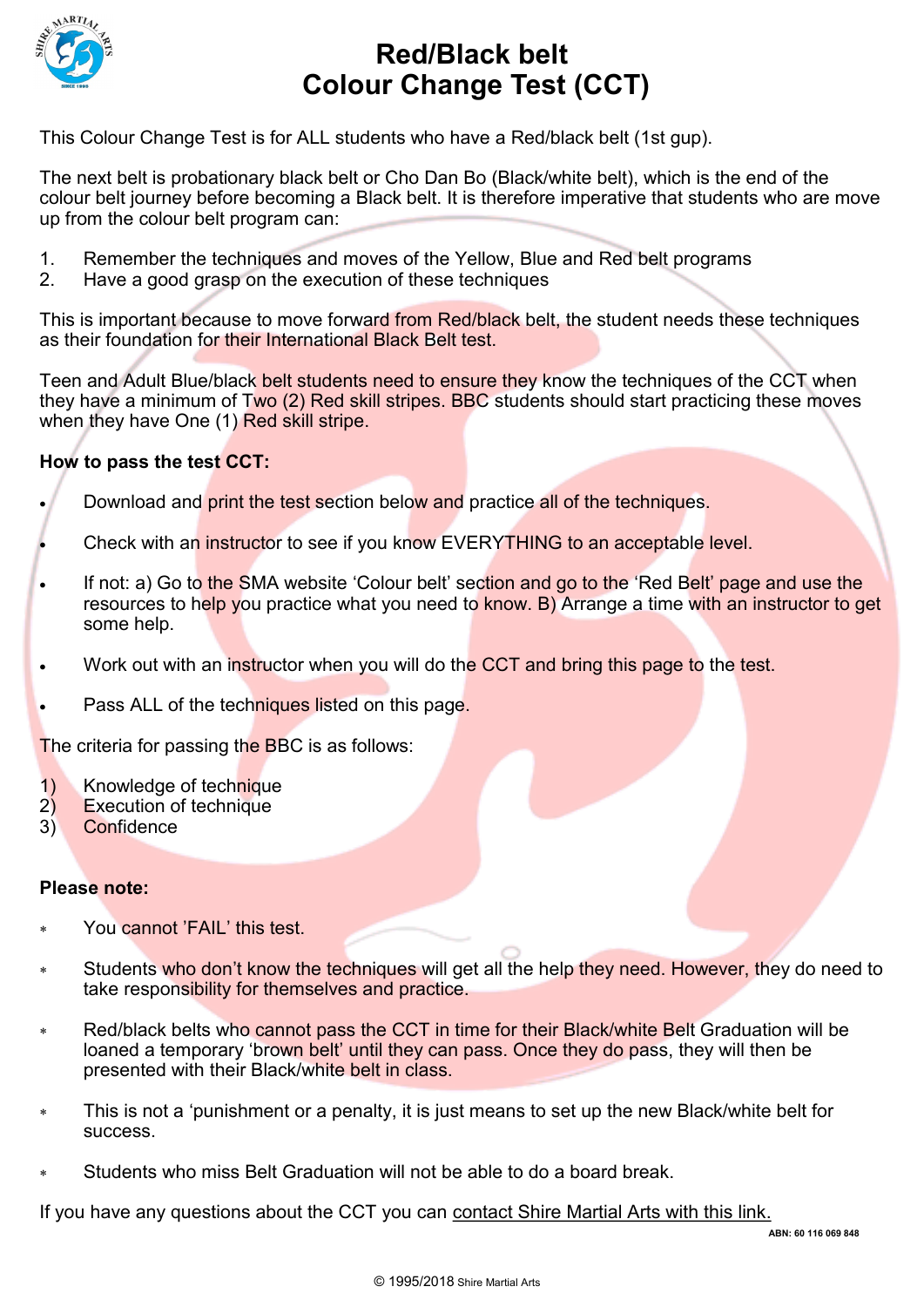

## **Red/Black belt Colour Change Test (CCT)**

This Colour Change Test is for ALL students who have a Red/black belt (1st gup).

The next belt is probationary black belt or Cho Dan Bo (Black/white belt), which is the end of the colour belt journey before becoming a Black belt. It is therefore imperative that students who are move up from the colour belt program can:

- 1. Remember the techniques and moves of the Yellow, Blue and Red belt programs
- 2. Have a good grasp on the execution of these techniques

This is important because to move forward from Red/black belt, the student needs these techniques as their foundation for their International Black Belt test.

Teen and Adult Blue/black belt students need to ensure they know the techniques of the CCT when they have a minimum of Two (2) Red skill stripes. BBC students should start practicing these moves when they have One (1) Red skill stripe.

### **How to pass the test CCT:**

- Download and print the test section below and practice all of the techniques.
- Check with an instructor to see if you know EVERYTHING to an acceptable level.
- If not: a) Go to the SMA website 'Colour belt' section and go to the 'Red Belt' page and use the resources to help you practice what you need to know. B) Arrange a time with an instructor to get some help.
- Work out with an instructor when you will do the CCT and bring this page to the test.
- Pass ALL of the techniques listed on this page.

The criteria for passing the BBC is as follows:

- 1) Knowledge of technique
- 2) Execution of technique
- 3) Confidence

#### **Please note:**

- You cannot 'FAIL' this test.
- Students who don't know the techniques will get all the help they need. However, they do need to take responsibility for themselves and practice.
- Red/black belts who cannot pass the CCT in time for their Black/white Belt Graduation will be loaned a temporary 'brown belt' until they can pass. Once they do pass, they will then be presented with their Black/white belt in class.
- This is not a 'punishment or a penalty, it is just means to set up the new Black/white belt for success.
- Students who miss Belt Graduation will not be able to do a board break.

If you have any questions about the CCT you can [contact Shire Martial Arts with this link.](http://www.shiremartialarts.com.au/contact-us/)